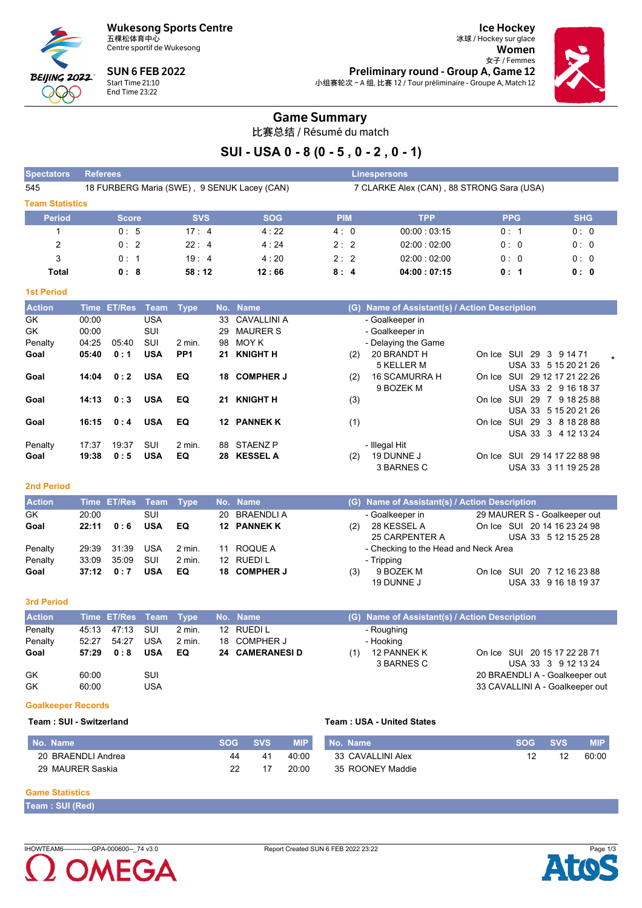**Wukesong Sports Centre** 五棵松体育中心



Centre sportif de Wukesong

**SUN 6 FEB 2022** Start Time 21:10 End Time 23:22

**Ice Hockey** 冰球 / Hockey sur glace Women 女子 / Femmes Preliminary round - Group A, Game 12 小组赛轮次 - A 组, 比赛 12 / Tour préliminaire - Groupe A, Match 12



### **Game Summary**

比赛总结 / Résumé du match

## SUI - USA 0 - 8 (0 - 5, 0 - 2, 0 - 1)

| <b>Spectators</b>      | <b>Referees</b>                             |              |            |             | <b>Linespersons</b>                       |            |            |
|------------------------|---------------------------------------------|--------------|------------|-------------|-------------------------------------------|------------|------------|
| 545                    | 18 FURBERG Maria (SWE), 9 SENUK Lacey (CAN) |              |            |             | 7 CLARKE Alex (CAN), 88 STRONG Sara (USA) |            |            |
| <b>Team Statistics</b> |                                             |              |            |             |                                           |            |            |
| <b>Period</b>          | <b>Score</b>                                | <b>SVS</b>   | <b>SOG</b> | <b>PIM</b>  | TPP                                       | <b>PPG</b> | <b>SHG</b> |
|                        | 0:5                                         | $17 \cdot 4$ | 4:22       | 4:0         | 00.00:03.15                               | 0:1        | 0:0        |
| 2                      | 0:2                                         | $22 \cdot 4$ | 4:24       | $2 \cdot 2$ | 02:00:02:00                               | 0:0        | 0:0        |
| 3                      | 0:1                                         | 19:4         | 4:20       | 2:2         | 02:00:02:00                               | 0:0        | 0:0        |
| Total                  | 0:8                                         | 58:12        | 12:66      | 8:4         | 04:00:07:15                               | 0:1        | 0:0        |

#### **1st Period**

| <b>Action</b> |       | Time ET/Res | Team       | Type            |    | No. Name         | (G) Name of Assistant(s) / Action Description                  |
|---------------|-------|-------------|------------|-----------------|----|------------------|----------------------------------------------------------------|
| GK            | 00:00 |             | USA        |                 | 33 | CAVALLINI A      | - Goalkeeper in                                                |
| GK            | 00:00 |             | SUI        |                 | 29 | <b>MAURER S</b>  | - Goalkeeper in                                                |
| Penalty       | 04.25 | 05:40       | SUI        | $2$ min.        | 98 | MOY K            | - Delaying the Game                                            |
| Goal          | 05:40 | 0:1         | <b>USA</b> | PP <sub>1</sub> | 21 | <b>KNIGHT H</b>  | 20 BRANDT H<br>On Ice SUI 29 3 9 14 71<br>(2)                  |
|               |       |             |            |                 |    |                  | 5 KELLER M<br>USA 33 5 15 20 21 26                             |
| Goal          | 14:04 | 0:2         | <b>USA</b> | EQ              | 18 | <b>COMPHER J</b> | SUI 29 12 17 21 22 26<br><b>16 SCAMURRA H</b><br>(2)<br>On Ice |
|               |       |             |            |                 |    |                  | 9 BOZEK M<br>USA 33 2 9 16 18 37                               |
| Goal          | 14:13 | 0:3         | <b>USA</b> | EQ              | 21 | <b>KNIGHT H</b>  | (3)<br>On Ice SUI 29 7 9 18 25 88                              |
|               |       |             |            |                 |    |                  | USA 33 5 15 20 21 26                                           |
| Goal          | 16:15 | 0:4         | <b>USA</b> | EQ              | 12 | <b>PANNEK K</b>  | (1)<br>SUI 29 3 8 18 28 88<br>On Ice                           |
|               |       |             |            |                 |    |                  | USA 33 3 4 12 13 24                                            |
| Penalty       | 17:37 | 19:37       | SUI        | $2$ min.        | 88 | STAENZ P         | - Illegal Hit                                                  |
| Goal          | 19:38 | 0:5         | <b>USA</b> | EQ              | 28 | <b>KESSEL A</b>  | 19 DUNNE J<br>29 14 17 22 88 98<br>SUI<br>(2)<br>On Ice        |
|               |       |             |            |                 |    |                  | 3 BARNES C<br>USA 33 3 11 19 25 28                             |

#### **2nd Period**

| <b>Action</b> |             | Time ET/Res Team Type |            |          |    | No. Name     | (G) Name of Assistant(s) / Action Description      |
|---------------|-------------|-----------------------|------------|----------|----|--------------|----------------------------------------------------|
| <b>GK</b>     | 20:00       |                       | SUI        |          |    | 20 BRAENDLIA | 29 MAURER S - Goalkeeper out<br>- Goalkeeper in    |
| Goal          | 22:11       | 0:6                   | <b>USA</b> | EQ.      |    | 12 PANNEK K  | On Ice SUI 20 14 16 23 24 98<br>28 KESSEL A<br>(2) |
|               |             |                       |            |          |    |              | 25 CARPENTER A<br>USA 33 5 12 15 25 28             |
| Penalty       | 29.39       | 31:39                 | USA        | $2$ min. | 11 | ROQUE A      | - Checking to the Head and Neck Area               |
| Penalty       | 33:09       | 35.09                 | SUI        | 2 min.   |    | 12 RUEDIL    | - Tripping                                         |
| Goal          | $37:12$ 0:7 |                       | <b>USA</b> | EQ       |    | 18 COMPHER J | On Ice SUI 20 7 12 16 23 88<br>9 BOZEK M<br>(3)    |
|               |             |                       |            |          |    |              | USA 33 9 16 18 19 37<br>19 DUNNE J                 |

#### 3rd Period

| <b>Action</b> |       | Time ET/Res Team Type |            |          | No. Name              |     | (G) Name of Assistant(s) / Action Description |                                 |
|---------------|-------|-----------------------|------------|----------|-----------------------|-----|-----------------------------------------------|---------------------------------|
| Penalty       |       | 45:13 47:13           | sui        | 2 min.   | 12 RUEDI L            |     | - Roughing                                    |                                 |
| Penalty       | 52:27 | 54:27                 | <b>USA</b> | $2$ min. | 18 COMPHER J          |     | - Hooking                                     |                                 |
| Goal          | 57:29 | 0:8                   | <b>USA</b> | EQ       | <b>24 CAMERANESID</b> | (1) | 12 PANNEK K                                   | On Ice SUI 20 15 17 22 28 71    |
|               |       |                       |            |          |                       |     | 3 BARNES C                                    | USA 33 3 9 12 13 24             |
| <b>GK</b>     | 60:00 |                       | SUI        |          |                       |     |                                               | 20 BRAENDLI A - Goalkeeper out  |
| GK            | 60:00 |                       | USA        |          |                       |     |                                               | 33 CAVALLINI A - Goalkeeper out |

#### **Goalkeeper Records**

#### Team: SUI - Switzerland

| No. Name           | <b>SOG</b> | <b>SVS</b> | <b>MIP</b> | No. Name          | <b>SOG</b> | <b>SVS</b> | <b>MIP</b> |
|--------------------|------------|------------|------------|-------------------|------------|------------|------------|
| 20 BRAENDLI Andrea | 44         | 41         | 40:00      | 33 CAVALLINI Alex |            | 12         | 60:00      |
| 29 MAURER Saskia   |            |            | 20:00      | 35 ROONEY Maddie  |            |            |            |

Team: USA - United States

#### **Game Statistics**

Team: SUI (Red)

IHOWTEAM6-------------GPA-000600--\_74 v3.0



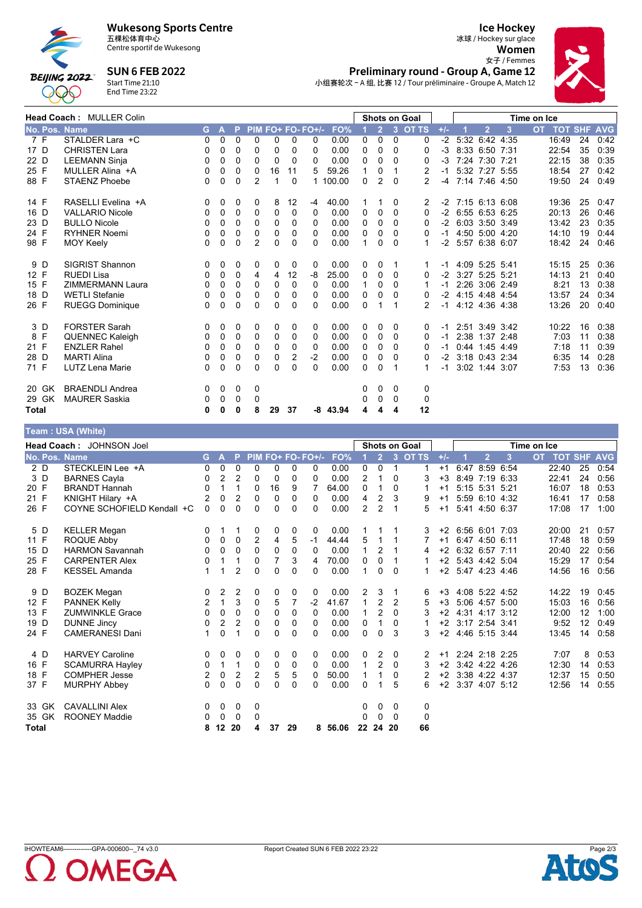

990

# Wukesong Sports Centre<br>五棵松体育中心

Centre sportif de Wukesong

**SUN 6 FEB 2022** 



**Ice Hockey** 冰球 / Hockey sur glace Women  $$\mathsf{\AA}$.$  Preliminary round - Group A, Game 12



小组赛轮次 - A 组, 比赛 12 / Tour préliminaire - Groupe A, Match 12

|               | Head Coach: MULLER Colin |          |              |          |                |          |          |                   |            |              |                |          | <b>Shots on Goal</b> |       |                     |                  |   | Time on Ice |       |                    |      |
|---------------|--------------------------|----------|--------------|----------|----------------|----------|----------|-------------------|------------|--------------|----------------|----------|----------------------|-------|---------------------|------------------|---|-------------|-------|--------------------|------|
| No. Pos. Name |                          | G.       | $\mathbf{A}$ | <b>P</b> |                |          |          | PIM FO+ FO- FO+/- | FO%        |              | 2 <sup>1</sup> |          | 3 OT TS              | $+/-$ |                     | $\overline{2}$   | 3 | <b>OT</b>   |       | <b>TOT SHF AVG</b> |      |
| 7 F           | STALDER Lara +C          | 0        | 0            | $\Omega$ | 0              | 0        | 0        | 0                 | 0.00       | 0            | $\Omega$       | $\Omega$ | 0                    | $-2$  |                     | 5:32 6:42 4:35   |   |             | 16:49 | 24                 | 0:42 |
| 17 D          | <b>CHRISTEN Lara</b>     | 0        | 0            | 0        | 0              | $\Omega$ | 0        | 0                 | 0.00       | 0            | $\Omega$       | $\Omega$ | 0                    | $-3$  |                     | 8:33 6:50 7:31   |   |             | 22:54 | 35                 | 0:39 |
| 22 D          | <b>LEEMANN Sinja</b>     | 0        | 0            | 0        | $\Omega$       | $\Omega$ | $\Omega$ | 0                 | 0.00       | $\mathbf{0}$ | $\Omega$       | 0        | 0                    | $-3$  |                     | 7:24 7:30 7:21   |   |             | 22:15 | 38                 | 0:35 |
| 25 F          | MULLER Alina +A          | 0        | 0            | 0        | $\mathbf{0}$   | 16       | 11       | 5                 | 59.26      | 1            | 0              |          | 2                    | $-1$  |                     | 5:32 7:27 5:55   |   |             | 18:54 | 27                 | 0:42 |
| 88 F          | <b>STAENZ Phoebe</b>     | 0        | 0            | 0        | $\overline{2}$ |          | 0        |                   | 100.00     | 0            | 2              | $\Omega$ | $\overline{2}$       | -4    |                     | 7:14 7:46 4:50   |   |             | 19:50 | 24                 | 0:49 |
| 14 F          | RASELLI Evelina +A       | 0        | 0            | 0        | 0              | 8        | 12       | -4                | 40.00      |              | 1              | 0        | 2                    |       | $-2$ 7:15 6:13 6:08 |                  |   |             | 19:36 | 25                 | 0:47 |
| 16 D          | <b>VALLARIO Nicole</b>   | 0        | 0            | 0        | 0              | $\Omega$ | 0        | $\Omega$          | 0.00       | 0            | 0              | $\Omega$ | 0                    |       | $-2$ 6:55 6:53 6:25 |                  |   |             | 20:13 | 26                 | 0:46 |
| 23 D          | <b>BULLO Nicole</b>      | 0        | 0            | 0        | $\Omega$       | $\Omega$ | 0        | 0                 | 0.00       | $\Omega$     | 0              | $\Omega$ | 0                    |       | $-2$ 6:03 3:50 3:49 |                  |   |             | 13:42 | 23                 | 0:35 |
| 24 F          | <b>RYHNER Noemi</b>      | 0        | 0            | 0        | 0              | 0        | 0        | 0                 | 0.00       | 0            | 0              | 0        | 0                    | $-1$  |                     | 4:50 5:00 4:20   |   |             | 14:10 | 19                 | 0:44 |
| 98 F          | <b>MOY Keely</b>         | 0        | $\Omega$     | 0        | $\overline{2}$ | $\Omega$ | $\Omega$ | 0                 | 0.00       | 1            | 0              | $\Omega$ |                      | -2    |                     | 5:57 6:38 6:07   |   |             | 18:42 | 24                 | 0:46 |
| 9 D           | <b>SIGRIST Shannon</b>   | 0        | 0            | 0        | 0              | 0        | 0        | 0                 | 0.00       | 0            | 0              |          |                      | -1    |                     | 4:09 5:25 5:41   |   |             | 15:15 | 25                 | 0:36 |
| 12 F          | <b>RUEDI Lisa</b>        | 0        | 0            | 0        | 4              | 4        | 12       | -8                | 25.00      | $\Omega$     | $\Omega$       | $\Omega$ | 0                    | $-2$  |                     | 3:27 5:25 5:21   |   |             | 14:13 | 21                 | 0:40 |
| 15 F          | <b>ZIMMERMANN Laura</b>  | 0        | 0            | 0        | $\mathbf{0}$   | $\Omega$ | 0        | 0                 | 0.00       | 1            | 0              | 0        | 1                    | $-1$  |                     | 2:26 3:06 2:49   |   |             | 8:21  | 13                 | 0:38 |
| 18 D          | <b>WETLI Stefanie</b>    | 0        | 0            | 0        | $\Omega$       | $\Omega$ | 0        | 0                 | 0.00       | 0            | 0              | $\Omega$ | 0                    | $-2$  | 4:15 4:48 4:54      |                  |   |             | 13:57 | 24                 | 0:34 |
| 26 F          | <b>RUEGG Dominique</b>   | 0        | 0            | 0        | 0              | 0        | 0        | 0                 | 0.00       | 0            | 1              |          | 2                    | $-1$  |                     | 4:12 4:36 4:38   |   |             | 13:26 | 20                 | 0:40 |
| 3 D           | <b>FORSTER Sarah</b>     | $\Omega$ | 0            | 0        | 0              | $\Omega$ | 0        | $\Omega$          | 0.00       | 0            | $\Omega$       | $\Omega$ | $\Omega$             | $-1$  |                     | 2:51 3:49 3:42   |   |             | 10:22 | 16                 | 0:38 |
| 8 F           | <b>QUENNEC Kaleigh</b>   | 0        | 0            | 0        | 0              | 0        | 0        | 0                 | 0.00       | 0            | 0              | 0        | 0                    | $-1$  |                     | 2:38 1:37 2:48   |   |             | 7:03  | 11                 | 0:38 |
| 21 F          | <b>ENZLER Rahel</b>      | 0        | 0            | 0        | $\Omega$       | $\Omega$ | 0        | $\Omega$          | 0.00       | $\mathbf{0}$ | $\Omega$       | 0        | 0                    | -1    |                     | $0.44$ 1:45 4:49 |   |             | 7:18  | 11                 | 0:39 |
| 28 D          | <b>MARTI Alina</b>       | 0        | 0            | 0        | $\mathbf{0}$   | $\Omega$ | 2        | $-2$              | 0.00       | $\mathbf{0}$ | 0              | 0        | 0                    | $-2$  |                     | 3:18 0:43 2:34   |   |             | 6:35  | 14                 | 0:28 |
| 71 F          | <b>LUTZ Lena Marie</b>   | 0        | 0            | $\Omega$ | $\Omega$       | $\Omega$ | 0        | $\Omega$          | 0.00       | $\mathbf{0}$ | $\Omega$       |          |                      | -1    |                     | 3:02 1:44 3:07   |   |             | 7:53  | 13                 | 0:36 |
| 20 GK         | <b>BRAENDLI Andrea</b>   | 0        | 0            | 0        | 0              |          |          |                   |            | 0            | 0              | 0        | 0                    |       |                     |                  |   |             |       |                    |      |
| 29 GK         | <b>MAURER Saskia</b>     | 0        | 0            | 0        | 0              |          |          |                   |            | 0            | 0              | $\Omega$ | 0                    |       |                     |                  |   |             |       |                    |      |
| <b>Total</b>  |                          | 0        | 0            | 0        | 8              | 29       | 37       |                   | $-8$ 43.94 | 4            | 4              | 4        | 12                   |       |                     |                  |   |             |       |                    |      |

| Team: USA (White) |  |  |
|-------------------|--|--|
|-------------------|--|--|

|               | $1$ vant to vert (Thing)   |                |                |                |                |                |    |                   |       |                |                |              |               |       |                     |                |   |             |                |    |            |
|---------------|----------------------------|----------------|----------------|----------------|----------------|----------------|----|-------------------|-------|----------------|----------------|--------------|---------------|-------|---------------------|----------------|---|-------------|----------------|----|------------|
|               | Head Coach: JOHNSON Joel   |                |                |                |                |                |    |                   |       |                |                |              | Shots on Goal |       |                     |                |   | Time on Ice |                |    |            |
| No. Pos. Name |                            | G.             | A              | P              |                |                |    | PIM FO+ FO- FO+/- | FO%   |                | 2 <sup>7</sup> |              | 3 OT TS       | $+/-$ |                     | $\overline{2}$ | 3 | <b>OT</b>   | <b>TOT SHF</b> |    | <b>AVG</b> |
| 2 D           | STECKLEIN Lee +A           | 0              | 0              | 0              | 0              | 0              | 0  | 0                 | 0.00  | 0              | 0              | $\mathbf{1}$ | 1             | $+1$  |                     | 6:47 8:59 6:54 |   |             | 22:40          | 25 | 0:54       |
| 3D            | <b>BARNES Cayla</b>        | 0              | $\overline{2}$ | $\overline{2}$ | 0              | 0              | 0  | 0                 | 0.00  | 2              | 1              | 0            | 3             | $+3$  |                     | 8:49 7:19 6:33 |   |             | 22:41          | 24 | 0:56       |
| 20 F          | <b>BRANDT Hannah</b>       | $\Omega$       | 1              | 1              | 0              | 16             | 9  | 7                 | 64.00 | 0              | 1              | $\Omega$     |               | $+1$  |                     | 5:15 5:31 5:21 |   |             | 16:07          | 18 | 0:53       |
| 21 F          | KNIGHT Hilary +A           | 2              | 0              | $\overline{2}$ | 0              | 0              | 0  | $\Omega$          | 0.00  | 4              | $\overline{2}$ | 3            | 9             | $+1$  |                     | 5:59 6:10 4:32 |   |             | 16:41          | 17 | 0:58       |
| 26 F          | COYNE SCHOFIELD Kendall +C | 0              | 0              | 0              | 0              | 0              | 0  | 0                 | 0.00  | $\overline{2}$ | $\overline{2}$ |              | 5             | $+1$  |                     | 5:41 4:50 6:37 |   |             | 17:08          | 17 | 1:00       |
| 5 D           | <b>KELLER Megan</b>        | 0              | 1              |                | 0              | 0              | 0  | 0                 | 0.00  | 1              |                |              | 3             | $+2$  |                     | 6:56 6:01 7:03 |   |             | 20:00          | 21 | 0:57       |
| 11 F          | ROQUE Abby                 | 0              | 0              | $\Omega$       | $\overline{2}$ | 4              | 5  | $-1$              | 44.44 | 5              | $\mathbf{1}$   | 1            |               | $+1$  |                     | 6:47 4:50 6:11 |   |             | 17:48          | 18 | 0:59       |
| 15 D          | <b>HARMON Savannah</b>     | 0              | 0              | $\Omega$       | $\Omega$       | 0              | 0  | $\Omega$          | 0.00  | $\mathbf 1$    | 2              |              | 4             |       | $+2$ 6:32 6:57 7:11 |                |   |             | 20:40          | 22 | 0:56       |
| 25 F          | <b>CARPENTER Alex</b>      | 0              | 1              | 1              | 0              | $\overline{7}$ | 3  | 4                 | 70.00 | 0              | 0              | 1            |               |       | +2 5:43 4:42 5:04   |                |   |             | 15:29          | 17 | 0:54       |
| 28 F          | <b>KESSEL Amanda</b>       | 1              | 1              | $\overline{2}$ | 0              | $\Omega$       | 0  | $\Omega$          | 0.00  | 1              | 0              | $\Omega$     |               |       | +2 5:47 4:23 4:46   |                |   |             | 14:56          | 16 | 0:56       |
| 9 D           | <b>BOZEK Megan</b>         | 0              | 2              | 2              | 0              | 0              | 0  | $\Omega$          | 0.00  | 2              | 3              |              | 6             | $+3$  |                     | 4.08 5.22 4.52 |   |             | 14:22          | 19 | 0:45       |
| 12 F          | <b>PANNEK Kelly</b>        | $\overline{2}$ | $\mathbf{1}$   | 3              | 0              | 5              | 7  | $-2$              | 41.67 | 1              | 2              | 2            | 5             | $+3$  |                     | 5:06 4:57 5:00 |   |             | 15:03          | 16 | 0:56       |
| 13 F          | <b>ZUMWINKLE Grace</b>     | 0              | 0              | $\Omega$       | $\Omega$       | $\Omega$       | 0  | $\Omega$          | 0.00  | 1              | $\overline{2}$ | $\mathbf{0}$ | 3             | $+2$  |                     | 4:31 4:17 3:12 |   |             | 12:00          | 12 | 1:00       |
| 19 D          | <b>DUNNE Jincy</b>         | 0              | 2              | 2              | 0              | 0              | 0  | $\Omega$          | 0.00  | 0              | $\mathbf 1$    | 0            |               | $+2$  |                     | 3:17 2:54 3:41 |   |             | 9:52           | 12 | 0:49       |
| 24 F          | <b>CAMERANESI Dani</b>     | 1              | 0              | 1              | 0              | 0              | 0  | $\Omega$          | 0.00  | 0              | 0              | 3            | 3             | $+2$  |                     | 4:46 5:15 3:44 |   |             | 13:45          | 14 | 0:58       |
| 4 D           | <b>HARVEY Caroline</b>     | 0              | 0              | 0              | 0              | 0              | 0  | $\mathbf{0}$      | 0.00  | 0              | 2              | 0            | 2             | $+1$  |                     | 2:24 2:18 2:25 |   |             | 7:07           | 8  | 0:53       |
| 16 F          | <b>SCAMURRA Hayley</b>     | 0              | $\mathbf{1}$   | $\mathbf 1$    | 0              | 0              | 0  | $\mathbf{0}$      | 0.00  | $\mathbf{1}$   | $\overline{2}$ | $\mathbf{0}$ | 3             | $+2$  |                     | 3:42 4:22 4:26 |   |             | 12:30          | 14 | 0:53       |
| 18 F          | <b>COMPHER Jesse</b>       | $\overline{2}$ | 0              | $\overline{c}$ | 2              | 5              | 5  | 0                 | 50.00 | 1              | 1              | $\Omega$     | 2             | $+2$  |                     | 3:38 4:22 4:37 |   |             | 12:37          | 15 | 0:50       |
| 37 F          | <b>MURPHY Abbey</b>        | $\Omega$       | $\Omega$       | 0              | $\Omega$       | $\Omega$       | 0  | $\Omega$          | 0.00  | 0              |                | 5            | 6             | $+2$  |                     | 3:37 4:07 5:12 |   |             | 12:56          | 14 | 0:55       |
| 33 GK         | <b>CAVALLINI Alex</b>      | 0              | 0              | 0              | 0              |                |    |                   |       | 0              | 0              | 0            | 0             |       |                     |                |   |             |                |    |            |
| 35 GK         | <b>ROONEY Maddie</b>       | 0              | 0              | 0              | 0              |                |    |                   |       | 0              | 0              | $\Omega$     | 0             |       |                     |                |   |             |                |    |            |
| Total         |                            | 8              | 12 20          |                | 4              | 37             | 29 | 8                 | 56.06 |                | 22 24 20       |              | 66            |       |                     |                |   |             |                |    |            |